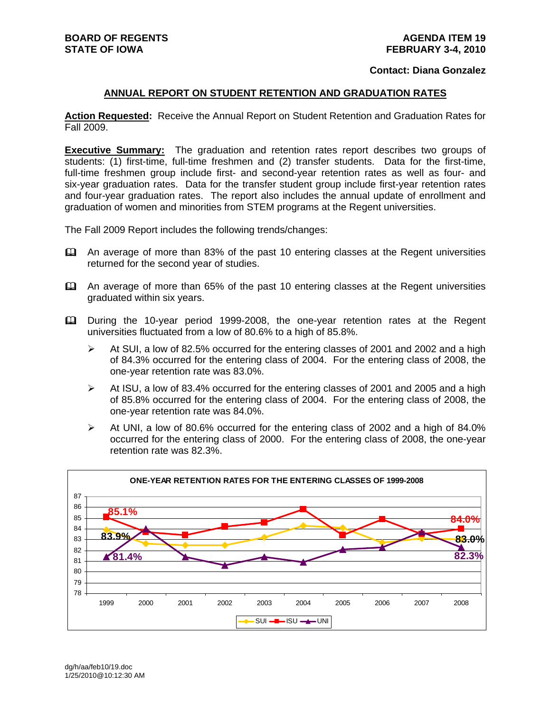#### **Contact: Diana Gonzalez**

#### **ANNUAL REPORT ON STUDENT RETENTION AND GRADUATION RATES**

**Action Requested:** Receive the Annual Report on Student Retention and Graduation Rates for Fall 2009.

**Executive Summary:** The graduation and retention rates report describes two groups of students: (1) first-time, full-time freshmen and (2) transfer students. Data for the first-time, full-time freshmen group include first- and second-year retention rates as well as four- and six-year graduation rates. Data for the transfer student group include first-year retention rates and four-year graduation rates. The report also includes the annual update of enrollment and graduation of women and minorities from STEM programs at the Regent universities.

The Fall 2009 Report includes the following trends/changes:

- An average of more than 83% of the past 10 entering classes at the Regent universities returned for the second year of studies.
- An average of more than 65% of the past 10 entering classes at the Regent universities graduated within six years.
- During the 10-year period 1999-2008, the one-year retention rates at the Regent universities fluctuated from a low of 80.6% to a high of 85.8%.
	- $\triangleright$  At SUI, a low of 82.5% occurred for the entering classes of 2001 and 2002 and a high of 84.3% occurred for the entering class of 2004. For the entering class of 2008, the one-year retention rate was 83.0%.
	- $\triangleright$  At ISU, a low of 83.4% occurred for the entering classes of 2001 and 2005 and a high of 85.8% occurred for the entering class of 2004. For the entering class of 2008, the one-year retention rate was 84.0%.
	- $\blacktriangleright$  At UNI, a low of 80.6% occurred for the entering class of 2002 and a high of 84.0% occurred for the entering class of 2000. For the entering class of 2008, the one-year retention rate was 82.3%.

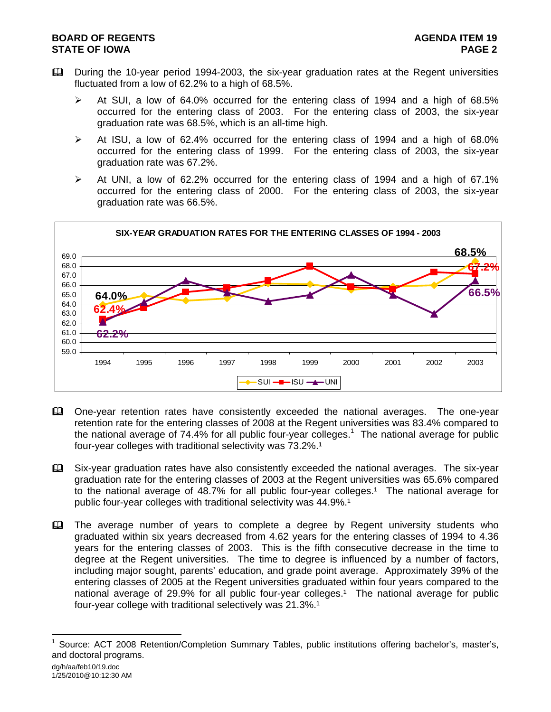## **BOARD OF REGENTS** AGENUS AGENDA ITEM 19 **STATE OF IOWA** PAGE 2

- During the 10-year period 1994-2003, the six-year graduation rates at the Regent universities fluctuated from a low of 62.2% to a high of 68.5%.
	- $\triangleright$  At SUI, a low of 64.0% occurred for the entering class of 1994 and a high of 68.5% occurred for the entering class of 2003. For the entering class of 2003, the six-year graduation rate was 68.5%, which is an all-time high.
	- $\triangleright$  At ISU, a low of 62.4% occurred for the entering class of 1994 and a high of 68.0% occurred for the entering class of 1999. For the entering class of 2003, the six-year graduation rate was 67.2%.
	- $\triangleright$  At UNI, a low of 62.2% occurred for the entering class of 1994 and a high of 67.1% occurred for the entering class of 2000. For the entering class of 2003, the six-year graduation rate was 66.5%.



- One-year retention rates have consistently exceeded the national averages. The one-year retention rate for the entering classes of 2008 at the Regent universities was 83.4% compared to the national average of 74.4% for all public four-year colleges.<sup>1</sup> The national average for public four-year colleges with traditional selectivity was 73.2%.<sup>1</sup>
- Six-year graduation rates have also consistently exceeded the national averages. The six-year graduation rate for the entering classes of 2003 at the Regent universities was 65.6% compared to the national average of 48.7% for all public four-year colleges.<sup>1</sup> The national average for public four-year colleges with traditional selectivity was 44.9%.<sup>1</sup>
- The average number of years to complete a degree by Regent university students who graduated within six years decreased from 4.62 years for the entering classes of 1994 to 4.36 years for the entering classes of 2003. This is the fifth consecutive decrease in the time to degree at the Regent universities. The time to degree is influenced by a number of factors, including major sought, parents' education, and grade point average. Approximately 39% of the entering classes of 2005 at the Regent universities graduated within four years compared to the national average of 29.9% for all public four-year colleges.<sup>1</sup> The national average for public four-year college with traditional selectively was 21.3%.<sup>1</sup>

l

<sup>1</sup> Source: ACT 2008 Retention/Completion Summary Tables, public institutions offering bachelor's, master's, and doctoral programs.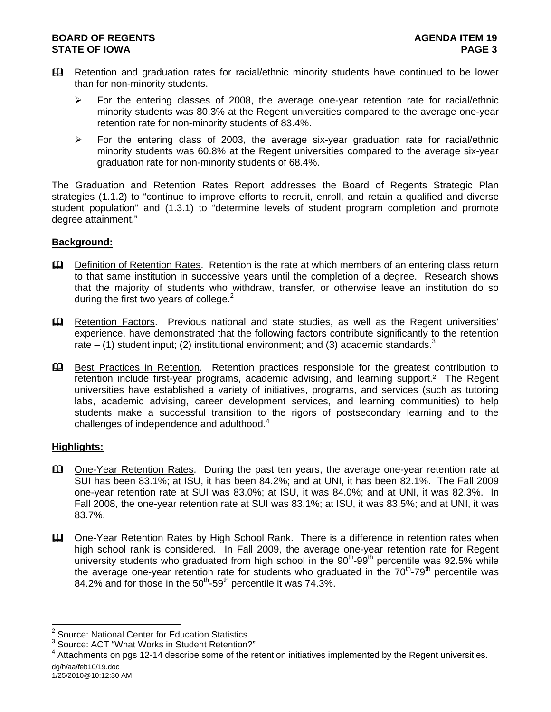- Retention and graduation rates for racial/ethnic minority students have continued to be lower than for non-minority students.
	- $\triangleright$  For the entering classes of 2008, the average one-year retention rate for racial/ethnic minority students was 80.3% at the Regent universities compared to the average one-year retention rate for non-minority students of 83.4%.
	- $\triangleright$  For the entering class of 2003, the average six-year graduation rate for racial/ethnic minority students was 60.8% at the Regent universities compared to the average six-year graduation rate for non-minority students of 68.4%.

The Graduation and Retention Rates Report addresses the Board of Regents Strategic Plan strategies (1.1.2) to "continue to improve efforts to recruit, enroll, and retain a qualified and diverse student population" and (1.3.1) to "determine levels of student program completion and promote degree attainment."

# **Background:**

- **Q.** Definition of Retention Rates. Retention is the rate at which members of an entering class return to that same institution in successive years until the completion of a degree. Research shows that the majority of students who withdraw, transfer, or otherwise leave an institution do so during the first two years of college. $2$
- Retention Factors. Previous national and state studies, as well as the Regent universities' experience, have demonstrated that the following factors contribute significantly to the retention rate – (1) student input; (2) institutional environment; and (3) academic standards.<sup>3</sup>
- **Example 3** Best Practices in Retention. Retention practices responsible for the greatest contribution to retention include first-year programs, academic advising, and learning support.² The Regent universities have established a variety of initiatives, programs, and services (such as tutoring labs, academic advising, career development services, and learning communities) to help students make a successful transition to the rigors of postsecondary learning and to the challenges of independence and adulthood. $4$

#### **Highlights:**

- One-Year Retention Rates. During the past ten years, the average one-year retention rate at SUI has been 83.1%; at ISU, it has been 84.2%; and at UNI, it has been 82.1%. The Fall 2009 one-year retention rate at SUI was 83.0%; at ISU, it was 84.0%; and at UNI, it was 82.3%. In Fall 2008, the one-year retention rate at SUI was 83.1%; at ISU, it was 83.5%; and at UNI, it was 83.7%.
- One-Year Retention Rates by High School Rank. There is a difference in retention rates when high school rank is considered. In Fall 2009, the average one-year retention rate for Regent university students who graduated from high school in the 90<sup>th</sup>-99<sup>th</sup> percentile was 92.5% while the average one-year retention rate for students who graduated in the  $70<sup>th</sup>$ -79<sup>th</sup> percentile was 84.2% and for those in the  $50<sup>th</sup>$ -59<sup>th</sup> percentile it was 74.3%.

 2 Source: National Center for Education Statistics.

<sup>&</sup>lt;sup>3</sup> Source: ACT "What Works in Student Retention?"

dg/h/aa/feb10/19.doc <sup>4</sup> Attachments on pgs 12-14 describe some of the retention initiatives implemented by the Regent universities.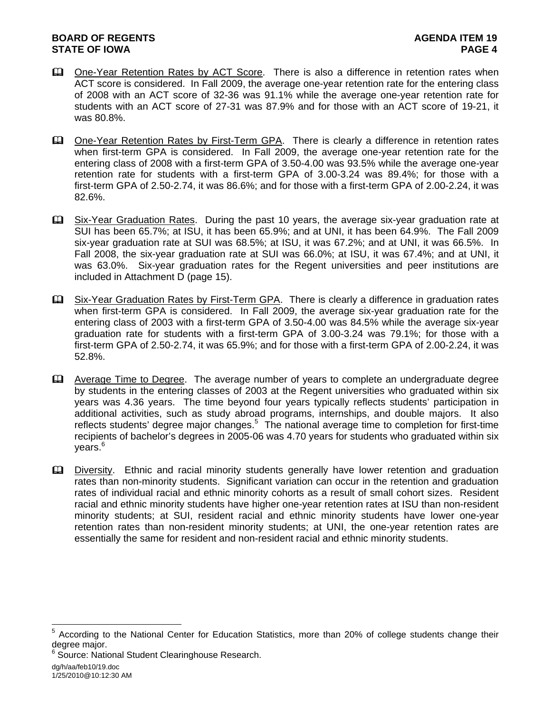- **Example 2** One-Year Retention Rates by ACT Score. There is also a difference in retention rates when ACT score is considered. In Fall 2009, the average one-year retention rate for the entering class of 2008 with an ACT score of 32-36 was 91.1% while the average one-year retention rate for students with an ACT score of 27-31 was 87.9% and for those with an ACT score of 19-21, it was 80.8%.
- Che-Year Retention Rates by First-Term GPA. There is clearly a difference in retention rates when first-term GPA is considered. In Fall 2009, the average one-year retention rate for the entering class of 2008 with a first-term GPA of 3.50-4.00 was 93.5% while the average one-year retention rate for students with a first-term GPA of 3.00-3.24 was 89.4%; for those with a first-term GPA of 2.50-2.74, it was 86.6%; and for those with a first-term GPA of 2.00-2.24, it was 82.6%.
- Six-Year Graduation Rates. During the past 10 years, the average six-year graduation rate at SUI has been 65.7%; at ISU, it has been 65.9%; and at UNI, it has been 64.9%. The Fall 2009 six-year graduation rate at SUI was 68.5%; at ISU, it was 67.2%; and at UNI, it was 66.5%. In Fall 2008, the six-year graduation rate at SUI was 66.0%; at ISU, it was 67.4%; and at UNI, it was 63.0%. Six-year graduation rates for the Regent universities and peer institutions are included in Attachment D (page 15).
- **Example 25 Six-Year Graduation Rates by First-Term GPA.** There is clearly a difference in graduation rates when first-term GPA is considered. In Fall 2009, the average six-year graduation rate for the entering class of 2003 with a first-term GPA of 3.50-4.00 was 84.5% while the average six-year graduation rate for students with a first-term GPA of 3.00-3.24 was 79.1%; for those with a first-term GPA of 2.50-2.74, it was 65.9%; and for those with a first-term GPA of 2.00-2.24, it was 52.8%.

 Average Time to Degree. The average number of years to complete an undergraduate degree by students in the entering classes of 2003 at the Regent universities who graduated within six years was 4.36 years. The time beyond four years typically reflects students' participation in additional activities, such as study abroad programs, internships, and double majors. It also reflects students' degree major changes.<sup>5</sup> The national average time to completion for first-time recipients of bachelor's degrees in 2005-06 was 4.70 years for students who graduated within six years.<sup>6</sup>

 Diversity. Ethnic and racial minority students generally have lower retention and graduation rates than non-minority students. Significant variation can occur in the retention and graduation rates of individual racial and ethnic minority cohorts as a result of small cohort sizes. Resident racial and ethnic minority students have higher one-year retention rates at ISU than non-resident minority students; at SUI, resident racial and ethnic minority students have lower one-year retention rates than non-resident minority students; at UNI, the one-year retention rates are essentially the same for resident and non-resident racial and ethnic minority students.

l

<sup>5</sup> According to the National Center for Education Statistics, more than 20% of college students change their degree major.

<sup>6</sup> Source: National Student Clearinghouse Research.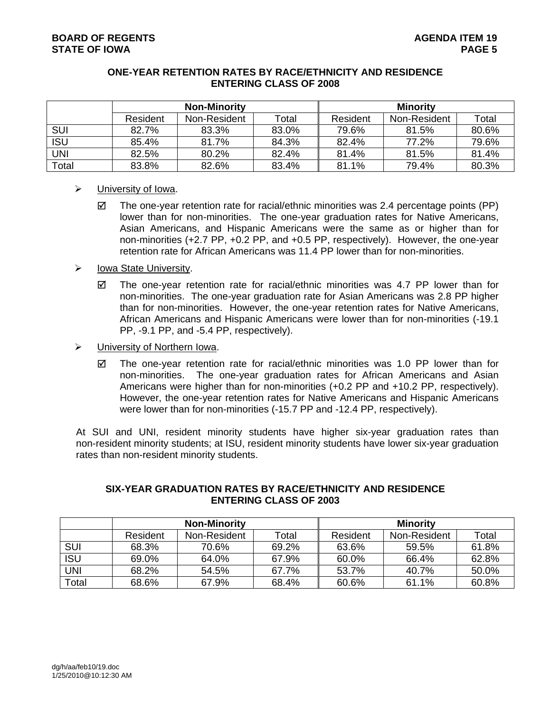### **ONE-YEAR RETENTION RATES BY RACE/ETHNICITY AND RESIDENCE ENTERING CLASS OF 2008**

|            | <b>Non-Minority</b> |              |       | <b>Minority</b> |              |       |  |
|------------|---------------------|--------------|-------|-----------------|--------------|-------|--|
|            | Resident            | Non-Resident | Total | Resident        | Non-Resident | Total |  |
| <b>SUI</b> | 82.7%               | 83.3%        | 83.0% | 79.6%           | 81.5%        | 80.6% |  |
| <b>ISU</b> | 85.4%               | 81.7%        | 84.3% | 82.4%           | 77.2%        | 79.6% |  |
| <b>UNI</b> | 82.5%               | 80.2%        | 82.4% | 81.4%           | 81.5%        | 81.4% |  |
| Total      | 83.8%               | 82.6%        | 83.4% | 81.1%           | 79.4%        | 80.3% |  |

### $\triangleright$  University of Iowa.

- $\boxtimes$  The one-year retention rate for racial/ethnic minorities was 2.4 percentage points (PP) lower than for non-minorities. The one-year graduation rates for Native Americans, Asian Americans, and Hispanic Americans were the same as or higher than for non-minorities (+2.7 PP, +0.2 PP, and +0.5 PP, respectively). However, the one-year retention rate for African Americans was 11.4 PP lower than for non-minorities.
- $\triangleright$  Iowa State University.
	- $\boxtimes$  The one-year retention rate for racial/ethnic minorities was 4.7 PP lower than for non-minorities. The one-year graduation rate for Asian Americans was 2.8 PP higher than for non-minorities. However, the one-year retention rates for Native Americans, African Americans and Hispanic Americans were lower than for non-minorities (-19.1 PP, -9.1 PP, and -5.4 PP, respectively).
- ¾ University of Northern Iowa.
	- $\boxtimes$  The one-year retention rate for racial/ethnic minorities was 1.0 PP lower than for non-minorities. The one-year graduation rates for African Americans and Asian Americans were higher than for non-minorities (+0.2 PP and +10.2 PP, respectively). However, the one-year retention rates for Native Americans and Hispanic Americans were lower than for non-minorities (-15.7 PP and -12.4 PP, respectively).

At SUI and UNI, resident minority students have higher six-year graduation rates than non-resident minority students; at ISU, resident minority students have lower six-year graduation rates than non-resident minority students.

|            | <b>Non-Minority</b> |              |       | <b>Minority</b> |              |       |
|------------|---------------------|--------------|-------|-----------------|--------------|-------|
|            | Resident            | Non-Resident | Total | Resident        | Non-Resident | Total |
| <b>SUI</b> | 68.3%               | 70.6%        | 69.2% | 63.6%           | 59.5%        | 61.8% |
| <b>ISU</b> | 69.0%               | 64.0%        | 67.9% | 60.0%           | 66.4%        | 62.8% |
| UNI        | 68.2%               | 54.5%        | 67.7% | 53.7%           | 40.7%        | 50.0% |
| Total      | 68.6%               | 67.9%        | 68.4% | 60.6%           | 61.1%        | 60.8% |

#### **SIX-YEAR GRADUATION RATES BY RACE/ETHNICITY AND RESIDENCE ENTERING CLASS OF 2003**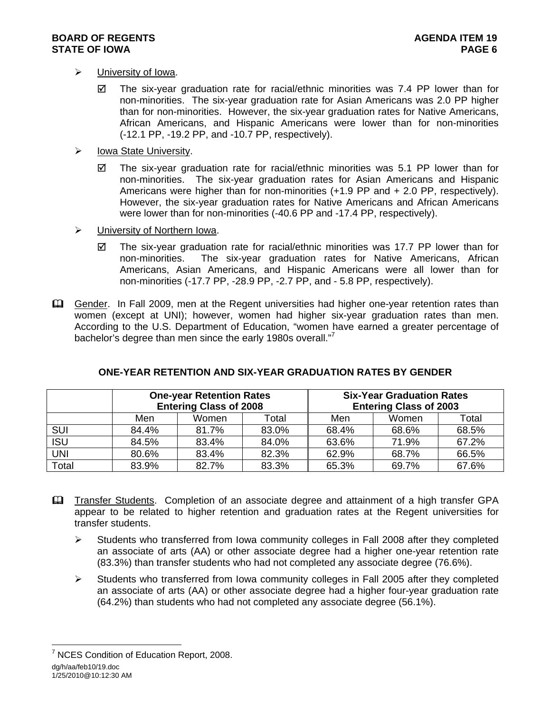- $\triangleright$  University of Iowa.
	- $\boxtimes$  The six-year graduation rate for racial/ethnic minorities was 7.4 PP lower than for non-minorities. The six-year graduation rate for Asian Americans was 2.0 PP higher than for non-minorities. However, the six-year graduation rates for Native Americans, African Americans, and Hispanic Americans were lower than for non-minorities (-12.1 PP, -19.2 PP, and -10.7 PP, respectively).
- $\triangleright$  Iowa State University.
	- $\boxtimes$  The six-year graduation rate for racial/ethnic minorities was 5.1 PP lower than for non-minorities. The six-year graduation rates for Asian Americans and Hispanic Americans were higher than for non-minorities (+1.9 PP and + 2.0 PP, respectively). However, the six-year graduation rates for Native Americans and African Americans were lower than for non-minorities (-40.6 PP and -17.4 PP, respectively).
- $\triangleright$  University of Northern Iowa.
	- $\boxtimes$  The six-year graduation rate for racial/ethnic minorities was 17.7 PP lower than for non-minorities. The six-year graduation rates for Native Americans, African Americans, Asian Americans, and Hispanic Americans were all lower than for non-minorities (-17.7 PP, -28.9 PP, -2.7 PP, and - 5.8 PP, respectively).
- Gender. In Fall 2009, men at the Regent universities had higher one-year retention rates than women (except at UNI); however, women had higher six-year graduation rates than men. According to the U.S. Department of Education, "women have earned a greater percentage of bachelor's degree than men since the early 1980s overall."<sup>7</sup>

|            | <b>One-year Retention Rates</b><br><b>Entering Class of 2008</b> |       |       | <b>Six-Year Graduation Rates</b><br><b>Entering Class of 2003</b> |       |       |  |
|------------|------------------------------------------------------------------|-------|-------|-------------------------------------------------------------------|-------|-------|--|
|            | Men                                                              | Women | Total | Men                                                               | Women | Total |  |
| SUI        | 84.4%                                                            | 81.7% | 83.0% | 68.4%                                                             | 68.6% | 68.5% |  |
| <b>ISU</b> | 84.5%                                                            | 83.4% | 84.0% | 63.6%                                                             | 71.9% | 67.2% |  |
| <b>UNI</b> | 80.6%                                                            | 83.4% | 82.3% | 62.9%                                                             | 68.7% | 66.5% |  |
| Total      | 83.9%                                                            | 82.7% | 83.3% | 65.3%                                                             | 69.7% | 67.6% |  |

# **ONE-YEAR RETENTION AND SIX-YEAR GRADUATION RATES BY GENDER**

- Transfer Students. Completion of an associate degree and attainment of a high transfer GPA appear to be related to higher retention and graduation rates at the Regent universities for transfer students.
	- $\triangleright$  Students who transferred from Iowa community colleges in Fall 2008 after they completed an associate of arts (AA) or other associate degree had a higher one-year retention rate (83.3%) than transfer students who had not completed any associate degree (76.6%).
	- $\triangleright$  Students who transferred from Iowa community colleges in Fall 2005 after they completed an associate of arts (AA) or other associate degree had a higher four-year graduation rate (64.2%) than students who had not completed any associate degree (56.1%).

dg/h/aa/feb10/19.doc 1/25/2010@10:12:30 AM l <sup>7</sup> NCES Condition of Education Report, 2008.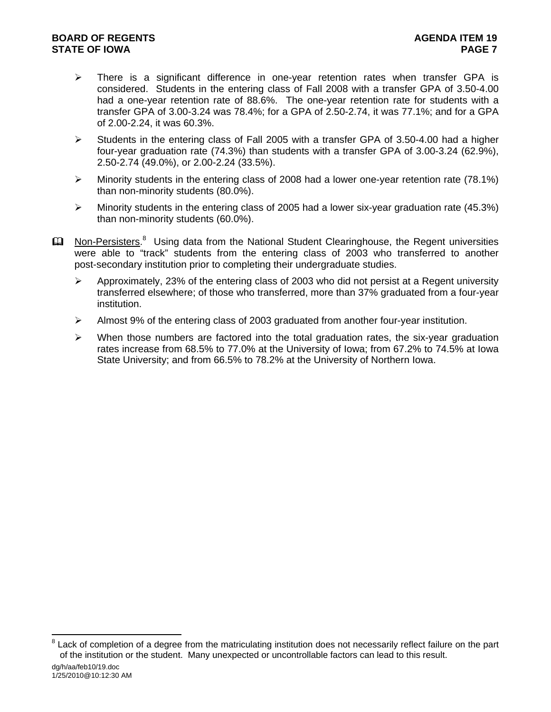## **BOARD OF REGENTS** AGENUS AGENDA ITEM 19 **STATE OF IOWA** PAGE 7

- $\triangleright$  There is a significant difference in one-year retention rates when transfer GPA is considered. Students in the entering class of Fall 2008 with a transfer GPA of 3.50-4.00 had a one-year retention rate of 88.6%. The one-year retention rate for students with a transfer GPA of 3.00-3.24 was 78.4%; for a GPA of 2.50-2.74, it was 77.1%; and for a GPA of 2.00-2.24, it was 60.3%.
- $\blacktriangleright$  Students in the entering class of Fall 2005 with a transfer GPA of 3.50-4.00 had a higher four-year graduation rate (74.3%) than students with a transfer GPA of 3.00-3.24 (62.9%), 2.50-2.74 (49.0%), or 2.00-2.24 (33.5%).
- $\triangleright$  Minority students in the entering class of 2008 had a lower one-year retention rate (78.1%) than non-minority students (80.0%).
- ¾ Minority students in the entering class of 2005 had a lower six-year graduation rate (45.3%) than non-minority students (60.0%).
- **Ell** Non-Persisters.<sup>8</sup> Using data from the National Student Clearinghouse, the Regent universities were able to "track" students from the entering class of 2003 who transferred to another post-secondary institution prior to completing their undergraduate studies.
	- $\triangleright$  Approximately, 23% of the entering class of 2003 who did not persist at a Regent university transferred elsewhere; of those who transferred, more than 37% graduated from a four-year institution.
	- ¾ Almost 9% of the entering class of 2003 graduated from another four-year institution.
	- $\triangleright$  When those numbers are factored into the total graduation rates, the six-year graduation rates increase from 68.5% to 77.0% at the University of Iowa; from 67.2% to 74.5% at Iowa State University; and from 66.5% to 78.2% at the University of Northern Iowa.

l

<sup>8</sup> Lack of completion of a degree from the matriculating institution does not necessarily reflect failure on the part of the institution or the student. Many unexpected or uncontrollable factors can lead to this result.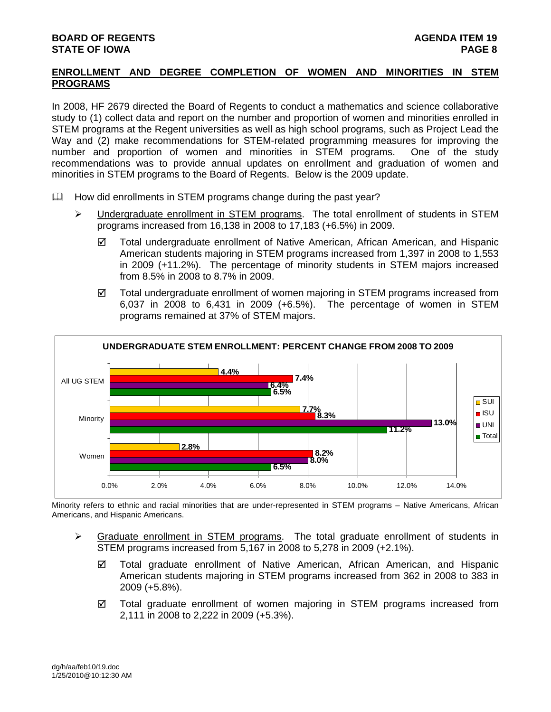## **ENROLLMENT AND DEGREE COMPLETION OF WOMEN AND MINORITIES IN STEM PROGRAMS**

In 2008, HF 2679 directed the Board of Regents to conduct a mathematics and science collaborative study to (1) collect data and report on the number and proportion of women and minorities enrolled in STEM programs at the Regent universities as well as high school programs, such as Project Lead the Way and (2) make recommendations for STEM-related programming measures for improving the number and proportion of women and minorities in STEM programs. One of the study recommendations was to provide annual updates on enrollment and graduation of women and minorities in STEM programs to the Board of Regents. Below is the 2009 update.

- $\Box$  How did enrollments in STEM programs change during the past year?
	- ¾ Undergraduate enrollment in STEM programs. The total enrollment of students in STEM programs increased from 16,138 in 2008 to 17,183 (+6.5%) in 2009.
		- $\boxtimes$  Total undergraduate enrollment of Native American, African American, and Hispanic American students majoring in STEM programs increased from 1,397 in 2008 to 1,553 in 2009 (+11.2%). The percentage of minority students in STEM majors increased from 8.5% in 2008 to 8.7% in 2009.
		- $\boxtimes$  Total undergraduate enrollment of women majoring in STEM programs increased from 6,037 in 2008 to 6,431 in 2009 (+6.5%). The percentage of women in STEM programs remained at 37% of STEM majors.



Minority refers to ethnic and racial minorities that are under-represented in STEM programs – Native Americans, African Americans, and Hispanic Americans.

- ¾ Graduate enrollment in STEM programs. The total graduate enrollment of students in STEM programs increased from 5,167 in 2008 to 5,278 in 2009 (+2.1%).
	- $\boxtimes$  Total graduate enrollment of Native American, African American, and Hispanic American students majoring in STEM programs increased from 362 in 2008 to 383 in 2009 (+5.8%).
	- $\boxtimes$  Total graduate enrollment of women majoring in STEM programs increased from 2,111 in 2008 to 2,222 in 2009 (+5.3%).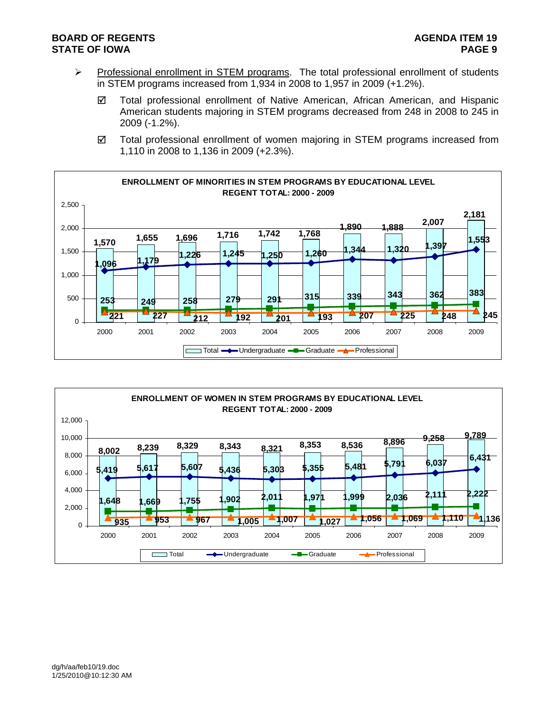## **BOARD OF REGENTS** AGENERAL BOARD OF REGENTS **STATE OF IOWA PAGE 9**

- ▶ Professional enrollment in STEM programs. The total professional enrollment of students in STEM programs increased from 1,934 in 2008 to 1,957 in 2009 (+1.2%).
	- 5 Total professional enrollment of Native American, African American, and Hispanic American students majoring in STEM programs decreased from 248 in 2008 to 245 in 2009 (-1.2%).
	- $\boxtimes$  Total professional enrollment of women majoring in STEM programs increased from 1,110 in 2008 to 1,136 in 2009 (+2.3%).



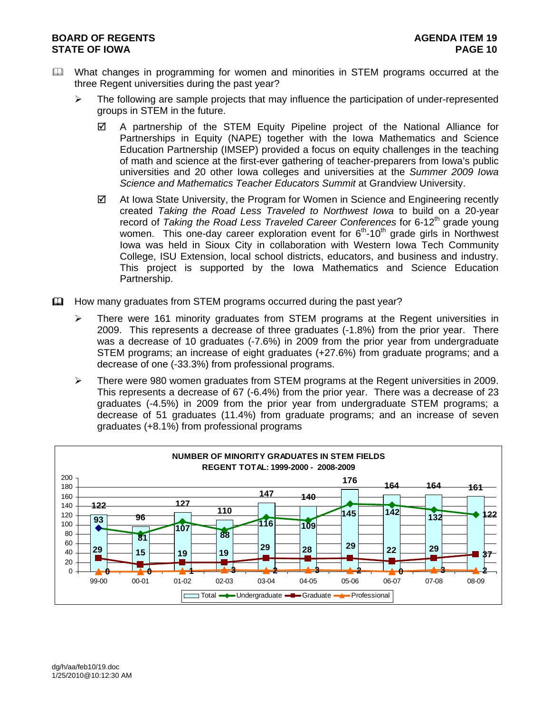### **BOARD OF REGENTS** AGENUS AGENDA ITEM 19 **STATE OF IOWA PAGE 10**

- What changes in programming for women and minorities in STEM programs occurred at the three Regent universities during the past year?
	- $\triangleright$  The following are sample projects that may influence the participation of under-represented groups in STEM in the future.
		- $\boxtimes$  A partnership of the STEM Equity Pipeline project of the National Alliance for Partnerships in Equity (NAPE) together with the Iowa Mathematics and Science Education Partnership (IMSEP) provided a focus on equity challenges in the teaching of math and science at the first-ever gathering of teacher-preparers from Iowa's public universities and 20 other Iowa colleges and universities at the *Summer 2009 Iowa Science and Mathematics Teacher Educators Summit* at Grandview University.
		- $\boxtimes$  At Iowa State University, the Program for Women in Science and Engineering recently created *Taking the Road Less Traveled to Northwest Iowa* to build on a 20-year record of *Taking the Road Less Traveled Career Conferences* for 6-12<sup>th</sup> grade young women. This one-day career exploration event for  $6<sup>th</sup>$ -10<sup>th</sup> grade girls in Northwest Iowa was held in Sioux City in collaboration with Western Iowa Tech Community College, ISU Extension, local school districts, educators, and business and industry. This project is supported by the Iowa Mathematics and Science Education Partnership.
- How many graduates from STEM programs occurred during the past year?
	- $\triangleright$  There were 161 minority graduates from STEM programs at the Regent universities in 2009. This represents a decrease of three graduates (-1.8%) from the prior year. There was a decrease of 10 graduates (-7.6%) in 2009 from the prior year from undergraduate STEM programs; an increase of eight graduates (+27.6%) from graduate programs; and a decrease of one (-33.3%) from professional programs.
	- ¾ There were 980 women graduates from STEM programs at the Regent universities in 2009. This represents a decrease of 67 (-6.4%) from the prior year. There was a decrease of 23 graduates (-4.5%) in 2009 from the prior year from undergraduate STEM programs; a decrease of 51 graduates (11.4%) from graduate programs; and an increase of seven graduates (+8.1%) from professional programs

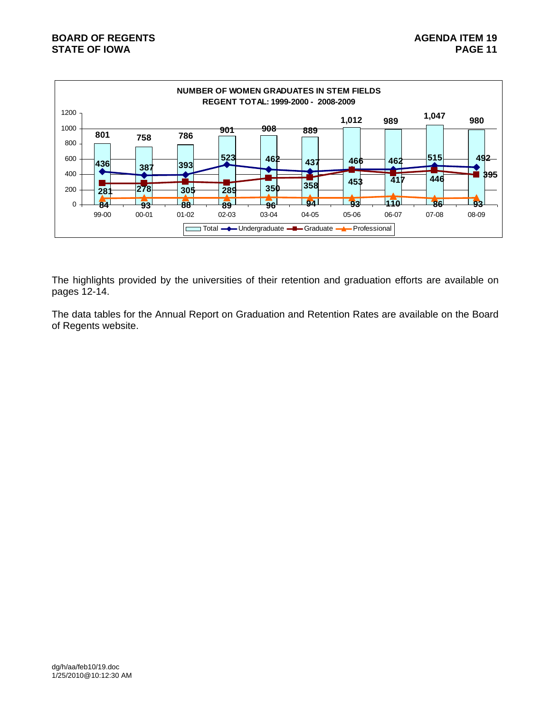

The highlights provided by the universities of their retention and graduation efforts are available on pages 12-14.

The data tables for the Annual Report on Graduation and Retention Rates are available on the Board of Regents website.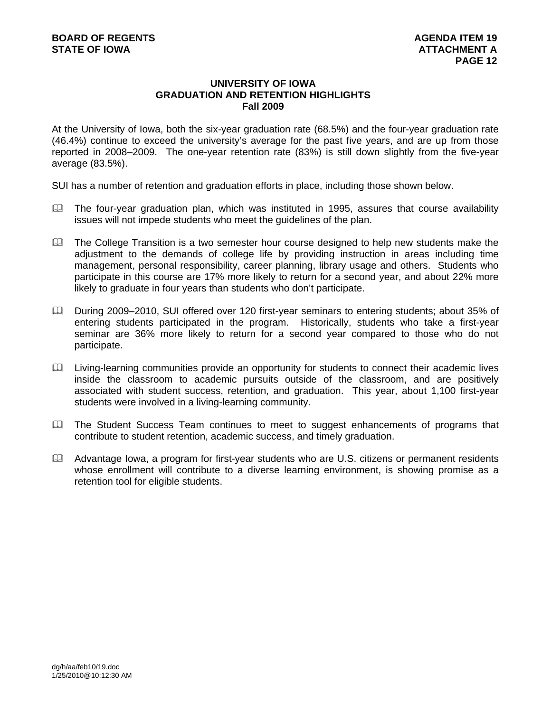### **UNIVERSITY OF IOWA GRADUATION AND RETENTION HIGHLIGHTS Fall 2009**

At the University of Iowa, both the six-year graduation rate (68.5%) and the four-year graduation rate (46.4%) continue to exceed the university's average for the past five years, and are up from those reported in 2008–2009. The one-year retention rate (83%) is still down slightly from the five-year average (83.5%).

SUI has a number of retention and graduation efforts in place, including those shown below.

- $\Box$  The four-year graduation plan, which was instituted in 1995, assures that course availability issues will not impede students who meet the guidelines of the plan.
- The College Transition is a two semester hour course designed to help new students make the adjustment to the demands of college life by providing instruction in areas including time management, personal responsibility, career planning, library usage and others. Students who participate in this course are 17% more likely to return for a second year, and about 22% more likely to graduate in four years than students who don't participate.
- During 2009–2010, SUI offered over 120 first-year seminars to entering students; about 35% of entering students participated in the program. Historically, students who take a first-year seminar are 36% more likely to return for a second year compared to those who do not participate.
- Living-learning communities provide an opportunity for students to connect their academic lives inside the classroom to academic pursuits outside of the classroom, and are positively associated with student success, retention, and graduation. This year, about 1,100 first-year students were involved in a living-learning community.
- **Example 3** The Student Success Team continues to meet to suggest enhancements of programs that contribute to student retention, academic success, and timely graduation.
- Advantage Iowa, a program for first-year students who are U.S. citizens or permanent residents whose enrollment will contribute to a diverse learning environment, is showing promise as a retention tool for eligible students.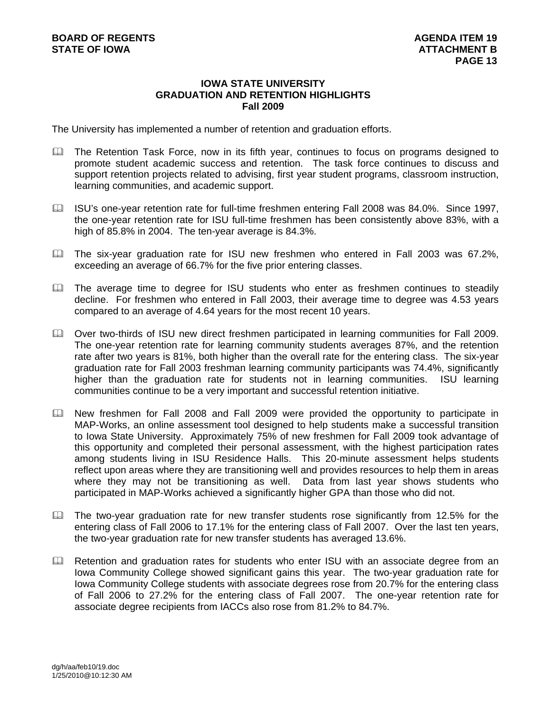### **IOWA STATE UNIVERSITY GRADUATION AND RETENTION HIGHLIGHTS Fall 2009**

The University has implemented a number of retention and graduation efforts.

- **The Retention Task Force, now in its fifth year, continues to focus on programs designed to** promote student academic success and retention. The task force continues to discuss and support retention projects related to advising, first year student programs, classroom instruction, learning communities, and academic support.
- ISU's one-year retention rate for full-time freshmen entering Fall 2008 was 84.0%. Since 1997, the one-year retention rate for ISU full-time freshmen has been consistently above 83%, with a high of 85.8% in 2004. The ten-year average is 84.3%.
- The six-year graduation rate for ISU new freshmen who entered in Fall 2003 was 67.2%, exceeding an average of 66.7% for the five prior entering classes.
- The average time to degree for ISU students who enter as freshmen continues to steadily decline. For freshmen who entered in Fall 2003, their average time to degree was 4.53 years compared to an average of 4.64 years for the most recent 10 years.
- Over two-thirds of ISU new direct freshmen participated in learning communities for Fall 2009. The one-year retention rate for learning community students averages 87%, and the retention rate after two years is 81%, both higher than the overall rate for the entering class. The six-year graduation rate for Fall 2003 freshman learning community participants was 74.4%, significantly higher than the graduation rate for students not in learning communities. ISU learning communities continue to be a very important and successful retention initiative.
- New freshmen for Fall 2008 and Fall 2009 were provided the opportunity to participate in MAP-Works, an online assessment tool designed to help students make a successful transition to Iowa State University. Approximately 75% of new freshmen for Fall 2009 took advantage of this opportunity and completed their personal assessment, with the highest participation rates among students living in ISU Residence Halls. This 20-minute assessment helps students reflect upon areas where they are transitioning well and provides resources to help them in areas where they may not be transitioning as well. Data from last year shows students who participated in MAP-Works achieved a significantly higher GPA than those who did not.
- $\Box$  The two-year graduation rate for new transfer students rose significantly from 12.5% for the entering class of Fall 2006 to 17.1% for the entering class of Fall 2007. Over the last ten years, the two-year graduation rate for new transfer students has averaged 13.6%.
- Retention and graduation rates for students who enter ISU with an associate degree from an Iowa Community College showed significant gains this year. The two-year graduation rate for Iowa Community College students with associate degrees rose from 20.7% for the entering class of Fall 2006 to 27.2% for the entering class of Fall 2007. The one-year retention rate for associate degree recipients from IACCs also rose from 81.2% to 84.7%.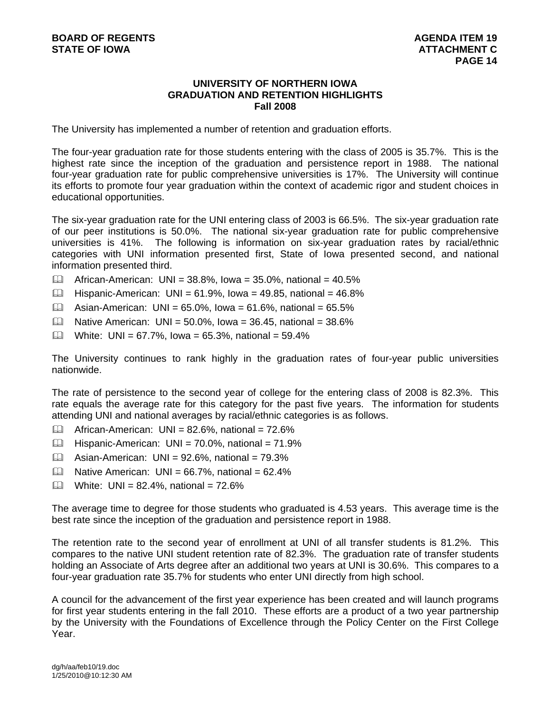### **UNIVERSITY OF NORTHERN IOWA GRADUATION AND RETENTION HIGHLIGHTS Fall 2008**

The University has implemented a number of retention and graduation efforts.

The four-year graduation rate for those students entering with the class of 2005 is 35.7%. This is the highest rate since the inception of the graduation and persistence report in 1988. The national four-year graduation rate for public comprehensive universities is 17%. The University will continue its efforts to promote four year graduation within the context of academic rigor and student choices in educational opportunities.

The six-year graduation rate for the UNI entering class of 2003 is 66.5%. The six-year graduation rate of our peer institutions is 50.0%. The national six-year graduation rate for public comprehensive universities is 41%. The following is information on six-year graduation rates by racial/ethnic categories with UNI information presented first, State of Iowa presented second, and national information presented third.

- $\Box$  African-American: UNI = 38.8%, Iowa = 35.0%, national = 40.5%
- $\Box$  Hispanic-American: UNI = 61.9%, Iowa = 49.85, national = 46.8%
- $\Box$  Asian-American: UNI = 65.0%, Iowa = 61.6%, national = 65.5%
- $\Box$  Native American: UNI = 50.0%, Iowa = 36.45, national = 38.6%
- $\Box$  White: UNI = 67.7%, Iowa = 65.3%, national = 59.4%

The University continues to rank highly in the graduation rates of four-year public universities nationwide.

The rate of persistence to the second year of college for the entering class of 2008 is 82.3%. This rate equals the average rate for this category for the past five years. The information for students attending UNI and national averages by racial/ethnic categories is as follows.

- $\Box$  African-American: UNI = 82.6%, national = 72.6%
- $\Box$  Hispanic-American: UNI = 70.0%, national = 71.9%
- $\Box$  Asian-American: UNI = 92.6%, national = 79.3%
- $\Box$  Native American: UNI = 66.7%, national = 62.4%
- $\Box$  White: UNI = 82.4%, national = 72.6%

The average time to degree for those students who graduated is 4.53 years. This average time is the best rate since the inception of the graduation and persistence report in 1988.

The retention rate to the second year of enrollment at UNI of all transfer students is 81.2%. This compares to the native UNI student retention rate of 82.3%. The graduation rate of transfer students holding an Associate of Arts degree after an additional two years at UNI is 30.6%. This compares to a four-year graduation rate 35.7% for students who enter UNI directly from high school.

A council for the advancement of the first year experience has been created and will launch programs for first year students entering in the fall 2010. These efforts are a product of a two year partnership by the University with the Foundations of Excellence through the Policy Center on the First College Year.